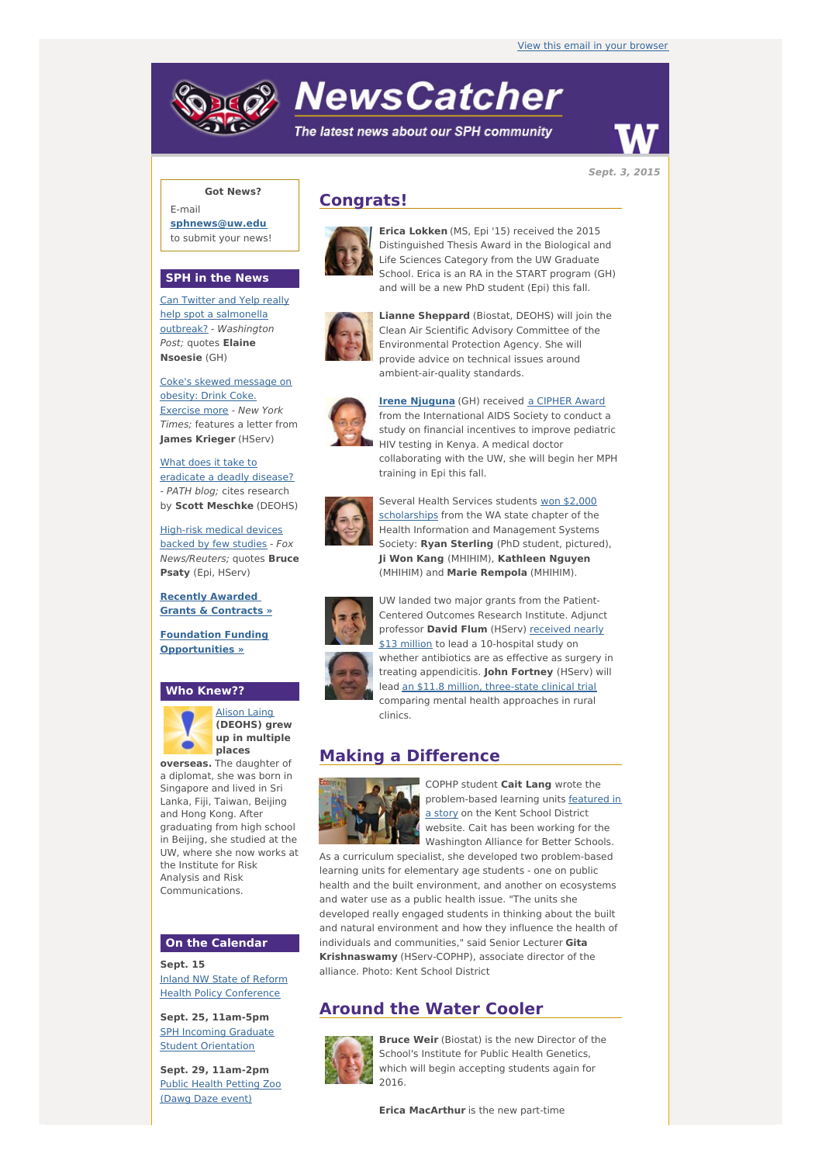# **NewsCatcher**

The latest news about our SPH community



**Sept. 3, 2015**

### **Got News?**

E-mail **[sphnews@uw.edu](mailto:sphnews@uw.edu)** to submit your news!

#### **SPH in the News**

Can Twitter and Yelp really help spot a salmonella outbreak? - [Washington](http://engage.washington.edu/site/R?i=21uvQmaE10poQPtW7OJxwg) Post; quotes **Elaine Nsoesie** (GH)

Coke's skewed [message](http://engage.washington.edu/site/R?i=rjSMlHKy_rsybWiN07WlrQ) on obesity: Drink Coke. Exercise more - New York Times; features a letter from **James Krieger** (HServ)

What does it take to [eradicate](http://engage.washington.edu/site/R?i=0fl57TCsFdIKwQEyCjiqaQ) a deadly disease? - PATH blog; cites research by **Scott Meschke** (DEOHS)

[High-risk](http://engage.washington.edu/site/R?i=avzPHhvJQd89QMJs1bgCvw) medical devices backed by few studies - Fox News/Reuters; quotes **Bruce Psaty** (Epi, HServ)

**Recently [Awarded](http://engage.washington.edu/site/R?i=2s_7R7-H2qsrhBOTt3uCIw) Grants & Contracts »**

**Foundation Funding [Opportunities](http://engage.washington.edu/site/R?i=aoQrV_aDZn_7SJZMXCyPvA) »**

#### **Who Knew??**



[Alison](http://engage.washington.edu/site/R?i=HBpyumbdDthxs_dT7GArwg) Laing **(DEOHS) grew up in multiple places**

**overseas.** The daughter of a diplomat, she was born in Singapore and lived in Sri Lanka, Fiji, Taiwan, Beijing and Hong Kong. After graduating from high school in Beijing, she studied at the UW, where she now works at the Institute for Risk Analysis and Risk Communications.

#### **On the Calendar**

**Sept. 15** Inland NW State of Reform Health Policy [Conference](http://engage.washington.edu/site/R?i=X6CLi1JEXkjRngUm5ReI5w)

**Sept. 25, 11am-5pm** SPH Incoming Graduate **Student [Orientation](http://engage.washington.edu/site/R?i=qT2inVcDpR2S_sFK_69WsA)** 

**Sept. 29, 11am-2pm** Public Health [Petting](http://engage.washington.edu/site/R?i=UnS-6gruBF_13bCkHW-xKw) Zoo (Dawg Daze event)

## **Congrats!**



**Erica Lokken** (MS, Epi '15) received the 2015 Distinguished Thesis Award in the Biological and Life Sciences Category from the UW Graduate School. Erica is an RA in the START program (GH) and will be a new PhD student (Epi) this fall.



**Lianne Shennard** (Biostat, DEOHS) will join the Clean Air Scientific Advisory Committee of the Environmental Protection Agency. She will provide advice on technical issues around ambient-air-quality standards.



**Irene [Njuguna](http://engage.washington.edu/site/R?i=CxHzKdF1RrHEqnaCPaUXIg)** (GH) received a [CIPHER](http://engage.washington.edu/site/R?i=4gUWpJMmpp5TGqX_fvYBSw) Award from the International AIDS Society to conduct a study on financial incentives to improve pediatric HIV testing in Kenya. A medical doctor collaborating with the UW, she will begin her MPH training in Epi this fall.



Several Health Services students won \$2,000 [scholarships](http://engage.washington.edu/site/R?i=RhHIqDOlNrsqCBKL66Ao3g) from the WA state chapter of the Health Information and Management Systems Society: **Ryan Sterling** (PhD student, pictured), **Ji Won Kang** (MHIHIM), **Kathleen Nguyen** (MHIHIM) and **Marie Rempola** (MHIHIM).



UW landed two major grants from the Patient-Centered Outcomes Research Institute. Adjunct professor **David Flum** (HServ) received nearly \$13 million to lead a [10-hospital](http://engage.washington.edu/site/R?i=sehAYGuPQhQHSFDu4xxDKg) study on whether antibiotics are as effective as surgery in treating appendicitis. **John Fortney** (HServ) will lead an \$11.8 million, [three-state](http://engage.washington.edu/site/R?i=3FETd87Id_G6BcIE5Y_s9g) clinical trial comparing mental health approaches in rural clinics.

# **Making a Difference**



COPHP student **Cait Lang** wrote the [problem-based](http://engage.washington.edu/site/R?i=oF8qmMMVio5B0Lt4G7Tc4w) learning units featured in a story on the Kent School District website. Cait has been working for the Washington Alliance for Better Schools.

As a curriculum specialist, she developed two problem-based learning units for elementary age students - one on public health and the built environment, and another on ecosystems and water use as a public health issue. "The units she developed really engaged students in thinking about the built and natural environment and how they influence the health of individuals and communities," said Senior Lecturer **Gita Krishnaswamy** (HServ-COPHP), associate director of the alliance. Photo: Kent School District

# **Around the Water Cooler**



**Bruce Weir** (Biostat) is the new Director of the School's Institute for Public Health Genetics, which will begin accepting students again for 2016.

**Erica MacArthur** is the new part-time